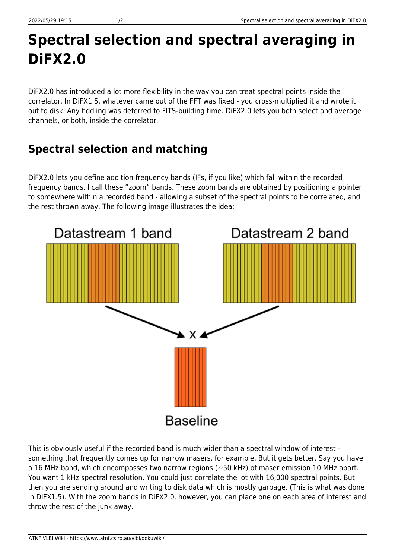## **Spectral selection and spectral averaging in DiFX2.0**

DiFX2.0 has introduced a lot more flexibility in the way you can treat spectral points inside the correlator. In DiFX1.5, whatever came out of the FFT was fixed - you cross-multiplied it and wrote it out to disk. Any fiddling was deferred to FITS-building time. DiFX2.0 lets you both select and average channels, or both, inside the correlator.

## **Spectral selection and matching**

DiFX2.0 lets you define addition frequency bands (IFs, if you like) which fall within the recorded frequency bands. I call these "zoom" bands. These zoom bands are obtained by positioning a pointer to somewhere within a recorded band - allowing a subset of the spectral points to be correlated, and the rest thrown away. The following image illustrates the idea:



This is obviously useful if the recorded band is much wider than a spectral window of interest something that frequently comes up for narrow masers, for example. But it gets better. Say you have a 16 MHz band, which encompasses two narrow regions (~50 kHz) of maser emission 10 MHz apart. You want 1 kHz spectral resolution. You could just correlate the lot with 16,000 spectral points. But then you are sending around and writing to disk data which is mostly garbage. (This is what was done in DiFX1.5). With the zoom bands in DiFX2.0, however, you can place one on each area of interest and throw the rest of the junk away.